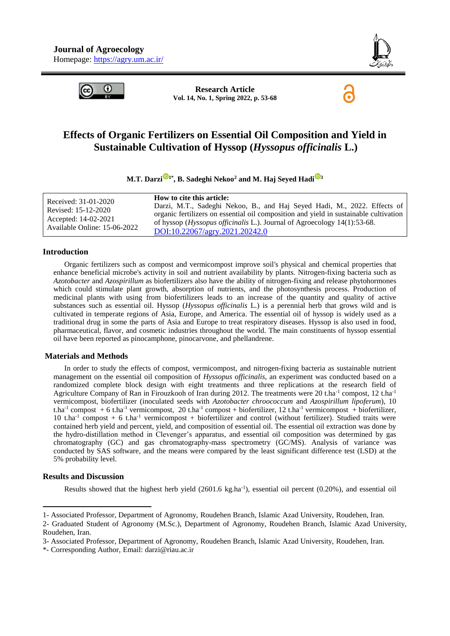



**Research Article Vol. 14, No. 1, Spring 2022, p. 53-68**

# **Effects of Organic Fertilizers on Essential Oil Composition and Yield in Sustainable Cultivation of Hyssop (***Hyssopus officinalis* **L.)**

## **M.T. Darz[i](https://orcid.org/0000-0002-4018-2932) 1\* , B. Sadeghi Nekoo<sup>2</sup> and M. Haj Seyed Had[i](https://orcid.org/0000-0002-2903-3848) <sup>3</sup>**

| Received: 31-01-2020<br>Revised: 15-12-2020<br>Accepted: 14-02-2021 | How to cite this article:<br>Darzi, M.T., Sadeghi Nekoo, B., and Haj Seyed Hadi, M., 2022. Effects of<br>organic fertilizers on essential oil composition and yield in sustainable cultivation<br>of hyssop ( <i>Hyssopus officinalis</i> L.). Journal of Agroecology 14(1):53-68. |
|---------------------------------------------------------------------|------------------------------------------------------------------------------------------------------------------------------------------------------------------------------------------------------------------------------------------------------------------------------------|
| Available Online: 15-06-2022                                        | DOI:10.22067/agry.2021.20242.0                                                                                                                                                                                                                                                     |

#### **Introduction**

Organic fertilizers such as compost and vermicompost improve soil's physical and chemical properties that enhance beneficial microbe's activity in soil and nutrient availability by plants. Nitrogen-fixing bacteria such as *Azotobacter* and *Azospirillum* as biofertilizers also have the ability of nitrogen-fixing and release phytohormones which could stimulate plant growth, absorption of nutrients, and the photosynthesis process. Production of medicinal plants with using from biofertilizers leads to an increase of the quantity and quality of active substances such as essential oil. Hyssop (*Hyssopus officinalis* L.) is a perennial herb that grows wild and is cultivated in temperate regions of Asia, Europe, and America. The essential oil of hyssop is widely used as a traditional drug in some the parts of Asia and Europe to treat respiratory diseases. Hyssop is also used in food, pharmaceutical, flavor, and cosmetic industries throughout the world. The main constituents of hyssop essential oil have been reported as pinocamphone, pinocarvone, and phellandrene.

#### **Materials and Methods**

In order to study the effects of compost, vermicompost, and nitrogen-fixing bacteria as sustainable nutrient management on the essential oil composition of *Hyssopus officinalis*, an experiment was conducted based on a randomized complete block design with eight treatments and three replications at the research field of Agriculture Company of Ran in Firouzkooh of Iran during 2012. The treatments were 20 t.ha<sup>-1</sup> compost, 12 t.ha<sup>-1</sup> vermicompost, biofertilizer (inoculated seeds with *Azotobacter chroococcum* and *Azospirillum lipoferum*), 10 t.ha<sup>-1</sup> compost + 6 t.ha<sup>-1</sup> vermicompost, 20 t.ha<sup>-1</sup> compost + biofertilizer, 12 t.ha<sup>-1</sup> vermicompost + biofertilizer, 10 t.ha-1 compost + 6 t.ha-1 vermicompost + biofertilizer and control (without fertilizer). Studied traits were contained herb yield and percent, yield, and composition of essential oil. The essential oil extraction was done by the hydro-distillation method in Clevenger's apparatus, and essential oil composition was determined by gas chromatography (GC) and gas chromatography-mass spectrometry (GC/MS). Analysis of variance was conducted by SAS software, and the means were compared by the least significant difference test (LSD) at the 5% probability level.

#### **Results and Discussion**

-

Results showed that the highest herb yield  $(2601.6 \text{ kg.ha}^{-1})$ , essential oil percent  $(0.20\%)$ , and essential oil

<sup>1-</sup> Associated Professor, Department of Agronomy, Roudehen Branch, Islamic Azad University, Roudehen, Iran.

<sup>2-</sup> Graduated Student of Agronomy (M.Sc.), Department of Agronomy, Roudehen Branch, Islamic Azad University, Roudehen, Iran.

<sup>3-</sup> Associated Professor, Department of Agronomy, Roudehen Branch, Islamic Azad University, Roudehen, Iran.

<sup>\*-</sup> Corresponding Author, Email: [darzi@riau.ac.ir](mailto:darzi@riau.ac.ir)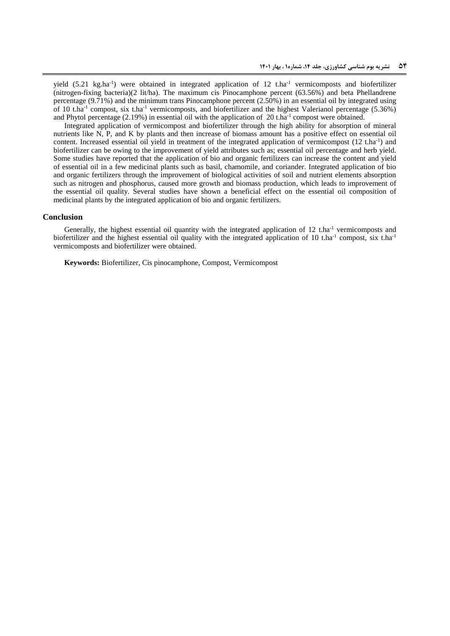yield  $(5.21 \text{ kg.ha}^{-1})$  were obtained in integrated application of 12 t.ha<sup>-1</sup> vermicomposts and biofertilizer (nitrogen-fixing bacteria)(2 lit/ha). The maximum cis Pinocamphone percent (63.56%) and beta Phellandrene percentage (9.71%) and the minimum trans Pinocamphone percent (2.50%) in an essential oil by integrated using of 10 t.ha<sup>-1</sup> compost, six t.ha<sup>-1</sup> vermicomposts, and biofertilizer and the highest Valerianol percentage (5.36%) and Phytol percentage  $(2.19\%)$  in essential oil with the application of 20 t.ha<sup>-1</sup> compost were obtained.

Integrated application of vermicompost and biofertilizer through the high ability for absorption of mineral nutrients like N, P, and K by plants and then increase of biomass amount has a positive effect on essential oil content. Increased essential oil yield in treatment of the integrated application of vermicompost  $(12 \text{ t.ha}^{-1})$  and biofertilizer can be owing to the improvement of yield attributes such as; essential oil percentage and herb yield. Some studies have reported that the application of bio and organic fertilizers can increase the content and yield of essential oil in a few medicinal plants such as basil, chamomile, and coriander. Integrated application of bio and organic fertilizers through the improvement of biological activities of soil and nutrient elements absorption such as nitrogen and phosphorus, caused more growth and biomass production, which leads to improvement of the essential oil quality. Several studies have shown a beneficial effect on the essential oil composition of medicinal plants by the integrated application of bio and organic fertilizers.

#### **Conclusion**

Generally, the highest essential oil quantity with the integrated application of 12 t.ha<sup>-1</sup> vermicomposts and biofertilizer and the highest essential oil quality with the integrated application of 10 t.ha<sup>-1</sup> compost, six t.ha<sup>-1</sup> vermicomposts and biofertilizer were obtained.

**Keywords:** Biofertilizer, Cis pinocamphone, Compost, Vermicompost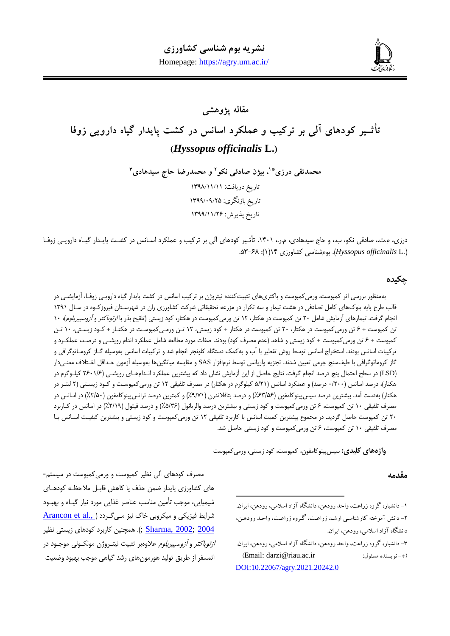

# **مقاله پژوهشی تأثـیر کودهای آلی بر ترکیب و عملکرد اسانس در کشت پایدار گیاه دارویی زوفا )***Hyssopus officinalis* **L.(**

**و محمدرضا حاج سیدهادی <sup>2</sup> ، بیژن صادقی نکو \*1 محمدتقی درزی 3** تاریخ دریافت: 1931/11/11 تاریخ بازنگری: 1933/93/52 تاریخ پذیرش: 1933/11/52

درزی، م.ت،، صادقی نکو، ب،، و حاج سیدهادی، م.ر.، ۱۴۰۱. تأثـیر کودهای آلی بر ترکیب و عملکرد اسـانس در کشـت پایـدار گیـاه دارویـی زوفـا .35-86 :)1(10 کتاورزی بومشناسی .(*Hyssopus officinalis* L.(

# **چکیده**

بهمنظور بررسی اثر کمپوست، ورمیکمپوست و باکتریهای تثبیتکننده نیتروژن بر ترکیب اسانس در کشت پایدار گیاه دارویـی زوفـا، آزمایشـی در قالب طرح پایه بلوکهای کامل تصادفی در هشت تیمار و سه تکرار در مزرعه تحقیقاتی شرکت کشاورزی ران در شهرسـتان فیروزکـوه در سـال ۱۳۹۱ انجام گرفت. تیمارهای آزمایش شامل ۲۰ تن کمپوست در هکتار، ۱۲ تن ورمیکمپوست در هکتار، کود زیستی (تلقیح بذر با *ازتوباکتر و آزوسپیریلوم)*، ۱۰ تن کمپوست + ۶ تن ورمیکمپوست در هکتار، ۲۰ تن کمپوست در هکتار + کود زیستی، ۱۲ تـن ورمـیکمپوسـت در هکتـار + کـود زیسـتی، ۱۰ تـن کمپوست + ۶ تن ورمیکمپوست + کود زیستی و شاهد (عدم مصرف کود) بودند. صفات مورد مطالعه شامل عملکرد اندام رویشـی و درصـد، عملکـرد و ترکیبات اسانس بودند. استخراج اسانس توسط روش تقطیر با آب و بهکمک دستگاه کلونجر انجام شد و ترکیبات اسانس بهوسیله گـاز کرومـاتوگرافی و گاز کروماتوگرافی با طیفسنج جرمی تعیین شدند. تجزیه واریانس توسط نرمافزار SAS و مقایسه میانگینها بهوسیله آزمون حـداقل اخـتلاف معنـی‹دار (LSD) در سطح احتمال پنج درصد انجام گرفت. نتایج حاصل از این آزمایش نشان داد که بیشترین عملکرد انـدامهـای رویشـی (۲۶۰۱/۶ کیلـوگرم در هکتار)، درصد اسانس (۲۰۰/۰ درصد) و عملکرد اسانس (۵/۲۱ کیلوگرم در هکتار) در مصرف تلفیقی ۱۲ تن ورمیکمپوسـت و کـود زیسـتی (۲ لیتـر در هکتار) بهدست آمد. بیشترین درصد سیس پینوکامفون (۶۳/۵۶٪) و درصد بتافلاندرن (۹/۷۱٪) و کمترین درصد ترانس پینوکامفون (۲/۵۰٪) در اسانس در مصرف تلفیقی ۱۰ تن کمپوست، ۶ تن ورمیکمپوست و کود زیستی و بیشترین درصد والریانول (۵/۳۶٪) و درصد فیتول (۲/۱۹٪) در اسانس در کـاربرد ٢٠ تن کمپوست حاصل گردید. در مجموع بیشترین کمیت اسانس با کاربرد تلفیقی ١٢ تن ورمی کمپوست و کود زیستی و بیشترین کیفیـت اسـانس بـا مصرف تلفیقی 14 تن کمپوسپ، 8 تن ورمیکمپوسپ و کود زاستی حاصل شد.

 $\overline{a}$ 

و**اژههای کلیدی:** سیس پینوکامفون، کمپوست، کود زیستی، ورمی کمپوست

### **مقدمه**

-1 دانشیار، گروه زراعت، واحد رودهن، دانشگاه آزاد اسالمی، رودهن، ایران. -5 دانش آموخته کارشناسیی ارشید زراعیت، گیروه زراعیت، واحید رودهین، دانشگاه آزاد اسالمی، رودهن، ایران.

-9 دانشیار، گروه زراعت، واحد رودهن، دانشگاه آزاد اسالمی، رودهن، ایران. )Email: [darzi@riau.ac.ir](mailto:darzi@riau.ac.ir) :مسئول نویسنده -)\* [DOI:10.22067/agry.2021.20242.0](https://dx.doi.org/10.22067/agry.2021.20242.0)

مصرف کودهای آلی نظیر کمپوسپ و ورمیکمپوسپ در سیستم- های کشاورزی پایدار ضمن حذف یا کاهش قابـل ملاحظـه کودهـای شیمیایی، موجب تأمین مناسب عناصر غذایی مورد نیاز گیـاه و بهبـود شرایط فیزیکی و میکروبی خاک نیز مـی گـردد (Arancon et al.,) 2<u>002; [2004](#page-12-0) ;Sharma, 2002</u> ). همچنین کاربرد کودهای زیستی نظیر *ازتوباکتر و آزوسپیریلوم علا*وهبر تثبیت نیتـروژن مولکـولی موجـود در اتمسفر از طریق تولید هورمونهای رشد گیاهی موجب بهبود وضعیت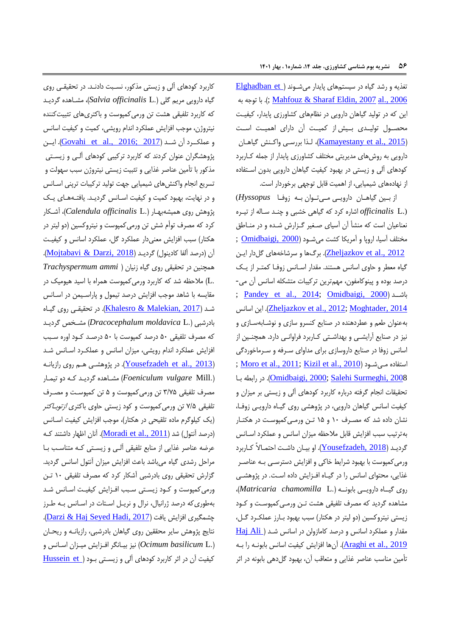تغذیه و رشد گیاه در سیستمهای پایدار میشـوند ( <u>Elghadban et</u> به توجه با . ;([Mahfouz & Sharaf Eldin, 2007](#page-14-0) [al., 2006](#page-13-0) این که در تولید گیاهان دارویی در نظامهای کشاورزی پایدار، کیفیت محصـول تولیـدی بـیش از کمیـت آن دارای اهمیـت اسـت (<u>Kamayestany et al., 2015)</u>، لـذا بررسـي واکـنش گياهـان دارویی به روشهای مدیریتی مختلف کشاورزی پایدار از جمله کـاربرد کودهای آلی و زیستی در بهبود کیفیت گیاهان دارویی بدون اسـتفاده از نهادههای شیمیایی، از اهمیت قابل توجهی برخوردار است.

از بـین گیاهـان دارویـی مـیتـوان بـه زوفـا Hyssopus) (.L *officinalis* اشارر کرد که هیاهی تتبی و چنـد سـاله از تیـرر نعناعیان اسپ که منتأ آن آسیای صـغیر هـزارش شـدر و در منـاطق مختلفآسیا، اروپا و آمریکا کشت میشود <u>(Omidbaigi, 2000</u> ; <u>Zheljazkov et al., 2012</u>). برگها و سرشاخههای گلدار ایـن گیاه معطر و حاوی اسانس هستند. مقدار اسـانس زوفـا کمتـر از یـک درصد بوده و پینوکامفون، مهمترین ترکیبات متشکله اسانس آن می-; [Pandey et al., 2014;](#page-14-2) [Omidbaigi, 2000](#page-14-1)( باشــد اين اسانس .([Zheljazkov et al., 2012;](#page-15-1) [Moghtader, 2014](#page-14-3) بهعنوان طعم و عطردهنده در صنایع کنسرو سازی و نوشـابهسـازی و نیز در صنایع آرایشـی و بهداشـتی کـاربرد فراوانـی دارد. همچنـین از اسانس زوفا در صنایع داروسازی برای مداوای سـرفه و سـرماخوردگی ; <u>Moro et al., 2011[; Kizil et](#page-14-4) al., 2010</u>) استفاده مـیشـود [2008 ,Surmeghi Salehi](#page-15-2)[;](#page-14-1)[2000 ,Omidbaigi](#page-14-1)). در رابطه بـا تحقیقات انجام گرفته درباره کاربرد کودهای آلی و زیستی بر میزان و کیفیت اسانس گیاهان دارویی، در پژوهشی روی گیـاه دارویـی زوفـا، نتان دادر شد که مصـرف 14 و 13 تـن ورمـی کمپوسـپ در هکتـار بهترتیب سبب افزایش قابل ملاحظه میزان اسانس و عملکرد اسـانس هردیـد (<u>Yousefzadeh, 2018)</u>. او بیـان داشـت احتمـالاً کـاربرد ورمیکمپوست با بهبود شرایط خاکی و افزایش دسترسـی بـه عناصـر غذایی، محتوای اسانس را در گیـاه افـزایش داده اسـت. در پژوهشـی روی هیــار دارواــی بابونــه ) .L *chamomilla Matricaria*)، مشاهده گردید که مصرف تلفیقی هشت تـن ورمـی کمپوسـت و کـود زاستی نیتروکسین )دو لیتر در هکتار( سبب بهبود بـارز عملکـرد هـل، مقدار و عملکرد اسانس و درصد کامازولن در اسانس شـد ( Haj Ali 41<u>aghi et al., 2019</u>). آنها افزایش کیفیت اسانس بابونـه را بـه تأمین مناسب عناصر غذایی و متعاقب آن، بهبود گلدهی بابونه در اثر

کاربرد کودهای آلی و زاستی مذکور، نسـبپ دادنـد. در تحقیقـی روی هیار داروای مرام هلی ).L *officinalis Salvia*)، متـاهدر هرداـد که کاربرد تلفیقی هشت تن ورمیکمپوست و باکتریهای تثبیتکننده نیتروژن، موجب افزایش عملکرد اندام رویشی، کمیت و کیفیت اسانس و عملكــرد آن شــد <u>(2017 ;Govahi et al., 2016)</u>. ايــن یژوهتگران عنوان کردند که کاربرد ترکیبی کودهای آلـی و زاسـتی مذکور با تأمین عناصر غذایی و تثبیت زیستی نیتروژن سبب سهولت و تسریع انجام واکنشهای شیمیایی جهت تولید ترکیبات ترپنی اسـانس و در نهایت، بهبود کمیت و کیفیت اسانس گردیـد. یافتـههای یـک یژوهش روی همیتهبهـار ) .L *officinalis Calendula*)، آشـکار کرد که مصرف توأم شش تن ورمیکمپوسپ و نیتروکسین )دو لیتر در هکتار) سبب افزایش معنیدار عملکرد گل، عملکرد اسانس و کیفیت آن (درصد آلفا کادینول) گردیـد (Mojtabavi & Darzi, 2018). همچنین در تحقیقی روی هیار زنیان ) *ammi Trachyspermum* .L) ملاحظه شد که کاربرد ورمی کمپوست همراه با اسید هیومیک در مقایسه با شاهد موجب افزایش درصد تیمول و پاراسـیمن در اسـانس شـد <u>(Khalesro & Malekian, 2017)</u>. در تحقیقـی روی گیـاه بادرشبی (*Dracocephalum moldavica* L.) مشـخص گردیـد که مصرف تلفیقی 34 درصد کمپوسپ با 34 درصـد کـود اورر سـبب افزایش عملکرد اندام رویشی، میزان اسانس و عملکـرد اسـانس شـد (<u>Yousefzadeh et al., 2013)</u>. در پژوهشـی هـم روی رازيانـه ).Mill *vulgare Foeniculum* )متـاهدر هرداـد کـه دو تیمـار مصرف تلفیقی 5/13 تن ورمیکمپوسپ و 3 تن کمپوسـپ و مصـرف تلفیقی ۷/۵ تن ورمیکمپوست و کود زیستی حاوی باکتری *ازتوبـاکتر* (یک کیلوگرم ماده تلقیحی در هکتار)، موجب افزایش کیفیت اسـانس (درصد آنتول) شد ( Moradi et al., 2011). آنان اظهار داشتند کـه عرضه عناصر غذایی از منابع تلفیقی آلـی و زیسـتی کـه متناسـب بـا مراحل رشدی گیاه میباشد باعث افزایش میزان آنتول اسانس گردید. هزارش تحقیقی روی بادرشبی آشکار کرد که مصرف تلفیقی 14 تـن ورمی کمپوست و کـود زیسـتی سـبب افـزایش کیفیـت اسـانس شـد بهطوری که درصد ژرانیال، نرال و نریـل اسـتات در اسـانس بـه طـرز چشمگیری افزایش یافت (Darzi & Haj Seyed Hadi, 2017). نتایج پژوهش سایر محققین روی گیاهان بادرشبی، رازیانـه و ریحـان نیز بیـانگر افـزایش میـزان اسـانس و (Ocimum basilicum L.) کیفیت آن در اثر کاربرد کودهای آلی و زیستی بـود (Hussein et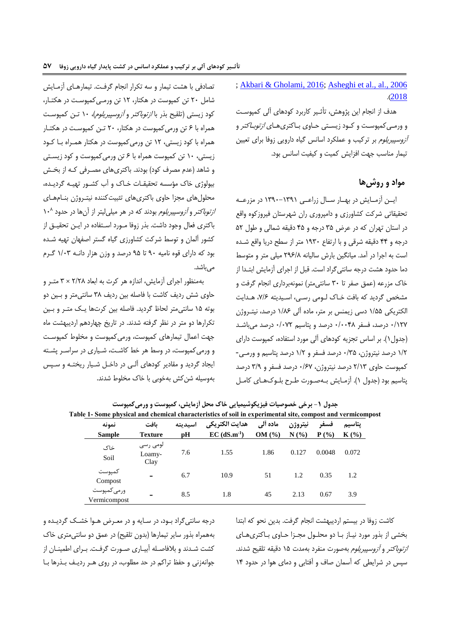[; Akbari & Gholami, 2016;](#page-12-3) [Asheghi et al.,](#page-12-2) [al., 2006](#page-13-5) .)[2018](#page-12-2)

هدف از انجام این پژوهش، تأثـیر کاربرد کودهای آلی کمپوسـت و ورمـی کمپوسـت و کـود زیسـتی حـاوی بـاکتریهـای *ازتوبـاکتر* و *آزوسپیریلوم* بر ترکیب و عملکرد اسانس گیاه دارویی زوفا برای تعیین تیمار مناسب جهت افزایش کمیت و کیفیت اسانس بود.

# **مواد و روشها**

ایـن آزمـایش در بهـار سـال زراعـی ١٣٩١-١٣٩٠ در مزرعـه تحقیقاتی شرکپ کتاورزی و دامپروری ران شهرستان یروزکور واقع در استان تهران که در عرض ۳۵ درجه و ۴۵ دقیقه شمالی و طول ۵۲ درجه و 00 دقیقه شرقی و با ارتفاع 1354 متر از سطح دراا واقع شـدر اسپ به اجرا در آمد. میانگین بارش سالیانه 038/6 میلی متر و متوسط دما حدود هشت درجه سانتی گراد است. قبل از اجرای آزمایش ابتـدا از خاک مزرعه (عمق صفر تا ۳۰ سانتیمتر) نمونهبرداری انجام گرفت و مشخص گردید که بافت خـاک لـومی رسـی، اسـیدیته ۷/۶، هـدایت الکتراکی 1/33 دسی زامن بر متر، مادر آلی 1/68 درصد، نیتـروژن 4/101 درصد، سفر 4/4406 درصد و یتاسیم 4/410 درصد میباشـد (جدول ۱). بر اساس تجزیه کودهای آلی مورد استفاده، کمپوست دارای 1/0 درصد نیتروژن، 4/53 درصد سفر و 1/0 درصد یتاسیم و ورمـی - کمپوسپ حاوی 0/15 درصد نیتروژن، 4/81 درصد سفر و 5/3 درصد یتاسیم بود )جدو 1(. آزمـااش بـه صـورت طـرح بلـوک هـای کامـل

تصادفی با هشت تیمار و سه تکرار انجام گرفت. تیمارهـای آزمـایش شامل 04 تن کمپوسپ در هکتار، 10 تن ورمـی کمپوسـپ در هکتـار، کود زیستی (تلقیح بذر با *ازتوباکتر و آزوسپیریلوم)، ۱۰* تـن کمپوسـت همرار با 8 تن ورمیکمپوسپ در هکتار، 04 تـن کمپوسـپ در هکتـار همرار با کود زاستی، 10 تن ورمیکمپوسپ در هکتار همـرار بـا کـود زیستی، ۱۰ تن کمپوست همراه با ۶ تن ورمی کمپوست و کود زیستی و شاهد (عدم مصرف کود) بودند. باکتریهای مصـرفی کـه از بخـش بیولوژی خاک مؤسسه تحقیقـات خـاک و آب کشـور تهیـه گردیـده، محلول های مجزا حاوی باکتریهای تثبیت کننده نیتـروژن بنـامهـای *ازتوباکتر* و *آزوسپیریلوم* بودند که در هر میلیلیتر از آنها در حدود ۱۰<sup>۸</sup> باکتری فعال وجود داشت. بذر زوفا مـورد اسـتفاده در ايـن تحقيـق از کشور آلمان و توسط شرکت کشاورزی گیاه گستر اصفهان تهیه شـده بود که دارای قور نامیه 34 تا 33 درصد و وزن هزار دانـه 1/45 هـرم میباشد.

بهمنظور اجرای آزمااش، اندازر هر کرت به ابعاد 0/06 × 5 متـر و حاوی شش ردیف کاشت با فاصله بین ردیف ۳۸ سانتی متر و بـین دو بوته ۱۵ سانتی متر لحاظ گردید. فاصله بین کرتها یـک متـر و بـین تکرارها دو متر در نظر گرفته شدند. در تاریخ چهاردهم اردیبهشت ماه جهت اعمال تیمارهای کمپوست، ورمیکمپوست و مخلوط کمپوست و ورمی کمپوست، در وسط هر خط کاشـت، شـیاری در سراسـر پشـته ایجاد گردید و مقادیر کودهای آلـی در داخـل شـیار ریختـه و سـپس بهوسیله شنکش بهتوبی با تاک مخلوط شدند.

|                             |                            |         | able 1- Some physical and chemical characteristics of soil in experimental site, compost and vermicompo |          |         |         |         |
|-----------------------------|----------------------------|---------|---------------------------------------------------------------------------------------------------------|----------|---------|---------|---------|
| نمونه                       | ىافت                       | اسيديته | هدايت الكتريكي                                                                                          | ماده ألى | نيتروژن | فسفر    | پتاسيم  |
| <b>Sample</b>               | <b>Texture</b>             | рH      | $EC$ (dS.m <sup>-1</sup> )                                                                              | OM(%)    | N(%)    | $P(\%)$ | $K(\%)$ |
| خاک<br>Soil                 | لومی رسی<br>Loamy-<br>Clay | 7.6     | 1.55                                                                                                    | 1.86     | 0.127   | 0.0048  | 0.072   |
| كمپوست<br>Compost           | $\overline{\phantom{0}}$   | 6.7     | 10.9                                                                                                    | 51       | 1.2     | 0.35    | 1.2     |
| ورمى كمپوست<br>Vermicompost | $\overline{\phantom{0}}$   | 8.5     | 1.8                                                                                                     | 45       | 2.13    | 0.67    | 3.9     |

**جدول -1 برخی خصوصیات فیزیکوشیمیایی خاك محل آزمایش، کمپوست و ورمیکمپوست Table 1- Some physical and chemical characteristics of soil in experimental site, compost and vermicompost**

درجه سانتی گراد بـود، در سـایه و در معـرض هـوا خشـک گردیـده و بههمراه بذور سایر تیمارها (بدون تلقیح) در عمق دو سانتی متری خاک کشت شـدند و بلافاصـله آبیـاری صـورت گرفـت. بـرای اطمینـان از جوانهزنی و حفظ تراکم در حد مطلوب، در روی هـر رداـف بـذرها بـا کاشت زوفا در بیستم اردیبهشت انجام گرفت. بدین نحو که ابتدا بخشی از بذور مورد نیـاز بـا دو محلـول مجـزا حـاوی بـاکتری هـای ازتوباکتر و آزوسپیرالوم بهصورت منفرد بهمدت 13 دقیقه تلقیح شدند. سپس در شرایطی که آسمان صاف و آفتابی و دمای هوا در حدود ۱۴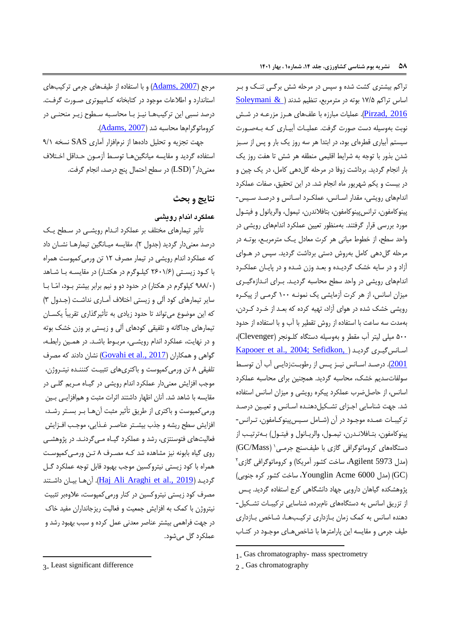تراکم بیشتری کشت شده و سپس در مرحله شش برگـی تنـک و بـر اساس تراکم 11/3 بوته در مترمربع، تنظیم شدند [\)](#page-15-4) [& Soleymani](#page-15-4) Pirzad, 2016). عملیات مبارزه با علفهای هـرز مزرعـه در شـش نوبت بهوسیله دست صورت گرفت. عملیـات آبیـاری کـه بـهصـورت سیستم آبیاری قطرهای بود، در ابتدا هر سه روز یک بار و پس از سـبز شدن بذور با توجه به شرایط اقلیمی منطقه هر شش تا هفت روز یک بار انجام گردید. برداشت زوفا در مرحله گلدهی کامل، در یک چین و در بیست و یکم شهریور ماه انجام شد. در این تحقیق، صفات عملکرد اندامهای رویشی، مقدار اسـانس، عملکـرد اسـانس و درصـد سـیس-پینوکامفون، ترانس پینوکامفون، بتافلاندرن، تیمول، والریانول و فیتـول مورد بررسی قرار گرفتند. بهمنظور تعیین عملکرد اندامهای رویشی در واحد سطح، از خطوط میانی هر کرت معادل یـک مترمربـع، بوتـه در مرحله گل دهی کامل بهروش دستی برداشت گردید. سپس در هـوای آزاد و در سایه خشک گردیـده و بعـد وزن شـده و در پایـان عملکـرد اندامهای رویشی در واحد سطح محاسبه گردیـد. بـرای انـدازهگیـری میزان اسانس، از هر کرت آزمایشی یک نمونـه ۱۰۰ گرمـی از پیکـره رویشی خشک شده در هوای آزاد، تهیه کرده که بعـد از خـرد کـردن، بهمدت سه ساعپ با استفادر از روش تقطیر با آب و با استفادر از حدود 344 میلی لیتر آب مقطر و بهوسیله دستگار کلـونجر )Clevenger)، <u>Kapooer et al., 2004; Sefidkon,</u> [\)](#page-13-6) اسانس گیری گردید 2<u>001</u>). درصـد اسـانس نیـز پـس از رطوبـتزدایـی آب آن توسـط سولفاتسدیم خشک، محاسبه گردید. همچنین برای محاسبه عملکرد اسانس، از حاصل ضرب عملکرد پیکره رویشی و میزان اسانس استفاده شد. جهت شناسایی اجـزای تشـکیل دهنـده اسـانس و تعیـین درصـد ترکیبـات عمـده موجـود در آن (شـامل سـیسپینوکـامفون، تـرانس-پینوکامفون، بتـافلانـدرن، تیمـول، والريـانول و فيتـول) بـهترتيـب از دستگاههای کروماتوگرافی گازی با طیفسنج جرمـی` (GC/Mass)  $^{\mathsf{v}}$ مدل Agilent 5973، ساخت کشور آمریکا) و کروماتوگرافی گازی $^{\mathsf{v}}$  $\gamma$ (مدل 1000 $\gamma$  Acme 6000 Acme) (GC) پژوهشکده گیاهان دارویی جهاد دانشگاهی کرج استفاده گردید. پـس از تزریق اسانس به دستگاههای نامبرده، شناسایی ترکیبات تشكیل-دهنده اسانس به کمک زمان بـازداری ترکیـبهـا، شـاخص بـازداری طیف جرمی و مقایسه این پارامترها با شاخصهای موجـود در کتـاب

 $\overline{a}$ 

مرجع <u>(Adams, 2007</u>) و با استفاده از طیفهای جرمی ترکیبهای استاندارد و اطلاعات موجود در کتابخانه کـامپیوتری صـورت گرفـت. درصد نسبی اان ترکیبهـا نیـز بـا محاسـبه سـطوح زاـر منحنـی در کروماتوگرامها محاسبه شد (Adams, 2007).

جهت تجزیه و تحلیل دادهها از نرمافزار آماری SAS نسخه ۹/۱ استفاده گردید و مقایسه میانگین هـا توسـط آزمـون حـداقل اخـتلاف معنیدار ؓ (LSD) در سطح احتمال پنج درصد، انجام گرفت.

## **نتایج و بحث**

#### **عملکرد اندام رویشی**

تأثیر تیمارهای مختلف بر عملکرد انـدام رویشـی در سـطح یـک درصد معنیدار گردید (جدول ۲). مقایسه میـانگین تیمارهـا نشـان داد که عملکرد اندام رویشی در تیمار مصرف ١٢ تن ورمی کمپوست همراه با کـود زیسـتی (۱/۶۰۱۶ کیلـوگرم در هکتـار) در مقایسـه بـا شـاهد )366/4 کیلوهرم در هکتار( در حدود دو و نیم برابر بیتتر بـود ، امّـا بـا سایر تیمارهای کود آلی و زیستی اختلاف آمـاری نداشـت (جـدول ٣) که این موضوع میتواند تا حدود زیادی به تأثیرگذاری تقریباً یکسـان تیمارهای جداگانه و تلفیقی کودهای آلی و زیستی بر وزن خشک بوته و در نهااپ، عملکرد اندام رواتـی، مربـوط باشـد. در همـین رابطـه، گواهی و همکاران (<u>Govahi et al., 2017</u>) نشان دادند که مصرف تلفیقی 6 تن ورمیکمپوسپ و باکتریهای تثبیـپ کنننـدر نیتـروژن، موجب افزایش معنیدار عملکرد اندام رویشی در گیـاه مـریم گلـی در مقایسه با شاهد شد. آنان اظهار داشتند اثرات مثبت و همافزایـی بـین ورمیکمپوسپ و باکتری از طراق تأثیر مثبپ آنهـا بـر بسـتر رشـد، افزایش سطح ریشه و جذب بیشـتر عناصـر غـذایی، موجـب افـزایش فعالیتهای فتوسنتزی، رشد و عملکرد گیـاه مـی5ردنـد. در پژوهشـی روی هیار بابونه نیز متاهدر شد کـه مصـرف 6 تـن ورمـی کمپوسـپ همراه با کود زیستی نیتروکسین موجب بهبود قابل توجه عملکرد گـل گردیــد <u>([Haj Ali Araghi et al., 2019](#page-13-2))</u>. آنهـا بیـان داشــتند مصرف کود زیستی نیتروکسین در کنار ورمیکمپوست، علاوهبر تثبیت نیتروژن با کمک به افزایش جمعیت و فعالیت ریزجانداران مفید خاک در جهپ راهمی بیتتر عناصر معدنی عمل کردر و سبب بهبود رشد و عملکرد گل میشود.

**.** 

<sup>1-</sup> Gas chromatography- mass spectrometry

<sup>2</sup> - Gas chromatography

<sup>3-</sup> Least significant difference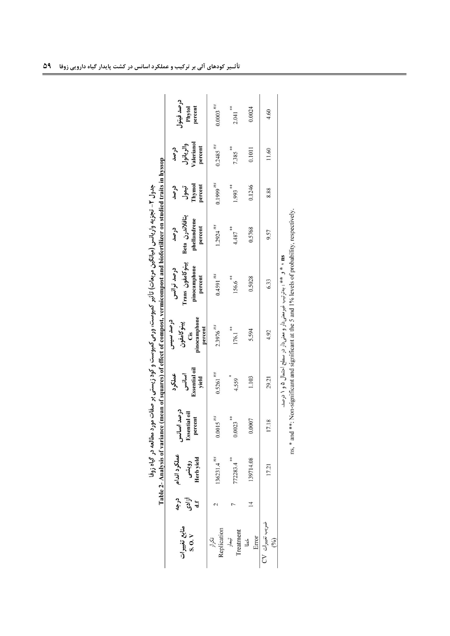|                         |                    |                                     |                                               |                                                  |                                                           | Table 2- Analysis of variance (mean of squares) of effect of compost, vermicompost and biofertilizer on studied traits in hyssop<br>جدول ۲- تجزیه واریانس (میانگین مربعات) تاثیر کمپوست، ورمی کمپوست و کود زیستی بر صفات مورد مطالعه در گیاه زوفا |                                                    |                                    |                                            |                                 |
|-------------------------|--------------------|-------------------------------------|-----------------------------------------------|--------------------------------------------------|-----------------------------------------------------------|---------------------------------------------------------------------------------------------------------------------------------------------------------------------------------------------------------------------------------------------------|----------------------------------------------------|------------------------------------|--------------------------------------------|---------------------------------|
| منابع تغييرات<br>S.0. V | درجه<br>أزادى<br>J | عملكرد اندام<br>Herb yield<br>رويشى | درصد اسانس<br><b>Essential oil</b><br>percent | <b>Essential oil</b><br>عملكرد<br>اسانس<br>yield | pinocamphone<br>درصد سیس<br>پينو کامفون<br>percent<br>Cis | پینوكامفون Trans<br>pinocamphone<br>درصد ترانس<br>percent                                                                                                                                                                                         | بتافلاندرن Beta<br>phellandrene<br>percent<br>درصد | Thymol<br>percent<br>درصد<br>تيمول | Valerianol<br>والريانول<br>percent<br>درصد | درصد فيتول<br>percent<br>Phytol |
| Replication<br>تكرار    |                    | $136231.4^{ns}$                     | $0.0015$ <sup><math>ns</math></sup>           | $0.5261$ <sup>ns</sup>                           | $2.3976$ <sup>ns</sup>                                    | $0.4591^{n s}$                                                                                                                                                                                                                                    | $1.2924^{ns}$                                      | $0.1999^{ns}$                      | $0.2485$ <sup>ms</sup>                     | $0.0003$ <sup>ns</sup>          |
| Treatment<br>تيمار      |                    | 72283.4                             | **<br>0.0023                                  | 4.559                                            | **<br>176.1                                               | **<br>156.6                                                                                                                                                                                                                                       | **<br>4.487                                        | **<br>1.993                        | **<br>7.385                                | $2.041$ <sup>**</sup>           |
| Error<br>ځا             |                    | 139714.08                           | 0.0007                                        | 1.103                                            | 5.594                                                     | 0.5028                                                                                                                                                                                                                                            | 0.5768                                             | 0.1246                             | 0.1011                                     | 0.0024                          |
| ضریب تغییرات CV<br>(2)  |                    | 17.21                               | 17.18                                         | 29.21                                            | 4.92                                                      | 6.33                                                                                                                                                                                                                                              | 9.57                                               | 8.88                               | 11.60                                      | 4.60                            |
|                         |                    |                                     | dealers when                                  |                                                  |                                                           | こころ こうしょう こうしゅう こうしょう こうしょう こうしょう しゅうしょう こうしゃ しゅうしゅ しゅうしゅ しゅうしゅう しゅうしゅう しゅうしゅう しゅうしゅう<br>ns ، * و  ** : بەترتیب غیرمعنیدار و معنیدار در سطح احتمال ۵ و ۱ درصد.                                                                                    |                                                    |                                    |                                            |                                 |

| $\mathbf{m}$<br>×<br>)<br>Q<br>زمىد. | $\tilde{\zeta}$<br>$100 -$<br>nc |
|--------------------------------------|----------------------------------|
|--------------------------------------|----------------------------------|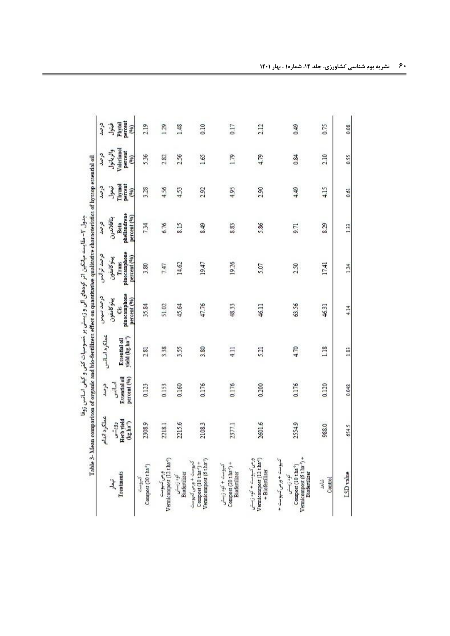| Table 3- Mean comparison of organic and bio-fertilizers effect on quantitative qualitative characteristics of hyssop essential oil | عملكرد اندام                            | درصد                                  |                                                               | درصد سیس                                        | درصد ترانس                                          | درصد                                              | درصد                               | ترصد                                       | درصد                                     |
|------------------------------------------------------------------------------------------------------------------------------------|-----------------------------------------|---------------------------------------|---------------------------------------------------------------|-------------------------------------------------|-----------------------------------------------------|---------------------------------------------------|------------------------------------|--------------------------------------------|------------------------------------------|
| Treatments<br>تيمار                                                                                                                | Herb vield<br>$(\log \ln 3^1)$<br>رويشى | Essential oil<br>percent (%)<br>أصالس | عملكرد اسالس<br>Essential oil<br>yield (kg.ha <sup>+)</sup> ) | pinocamphone<br>percent (%)<br>يبنو كامغون<br>Ĝ | pinocamphone<br>percent (%)<br>يبنو كامفون<br>Trans | phellandrene<br>percent (%)<br>بتافلاندرن<br>Beta | percent<br>Thymol<br>تيمول<br>(96) | Valerianol<br>والريانول<br>percent<br>(90) | percent<br>Phytol<br>فيتول<br>$\epsilon$ |
| Compost (20 t.ha <sup>-1</sup> )<br>كبوست                                                                                          | 2308.9                                  | 0.123                                 | 2.81                                                          | 35.84                                           | 3.80                                                | 7.34                                              | 3.28                               | 5.36                                       | 2.19                                     |
| Vermicompost (12 t.ha <sup>-1</sup> )<br>ورمی کیپوسٹ                                                                               | 2218.1                                  | 0.153                                 | 3.38                                                          | 51.02                                           | 7.47                                                | 6.76                                              | 4.56                               | 2.82                                       | 1.29                                     |
| Biofertilizer<br>کود زیستی                                                                                                         | 2215.6                                  | 0.160                                 | 3.55                                                          | 45.64                                           | 14.62                                               | 8.15                                              | 4.53                               | 2.56                                       | 1.48                                     |
| Vernicompost (6 tha <sup>-1</sup> )<br>کیوست + ورمی کیپوست<br>Compost (10 tha <sup>-1</sup> ) +                                    | 21083                                   | 0.176                                 | 3.80                                                          | 47.76                                           | 19.47                                               | 8.49                                              | 292                                | 1.65                                       | 0.10                                     |
| Compost (20 tha <sup>-1</sup> ) +<br>كيوست + كود زيستى<br>Biofernlizer                                                             | 2377.1                                  | 0.176                                 | 4.11                                                          | 48.33                                           | 1926                                                | 8.83                                              | 4.95                               | 1.79                                       | 0.17                                     |
| ورمی کیوست + کود زیستی<br>Vernicompost (12 t.ha <sup>-1</sup> )<br>$+$ Biofertilizer                                               | 2601.6                                  | 0.200                                 | 5.21                                                          | 46.11                                           | 5.07                                                | 5.86                                              | 2.90                               | 4.79                                       | 212                                      |
| Vermicompost (6 tha <sup>-1</sup> ) +<br>کیوست + ورمی کیوست +<br>Compost (10 tha <sup>-1</sup> )<br>Bioferrilizer<br>گود زيستس     | 2554.9                                  | 0.176                                 | 4.70                                                          | 63.56                                           | 2.50                                                | 9.71                                              | 4.49                               | 0.84                                       | 0.49                                     |
| Control<br>شاهد                                                                                                                    | 988.0                                   | 0.120                                 | 1.18                                                          | 46.31                                           | 17.41                                               | 8.29                                              | 4.15                               | 2.10                                       | 0.75                                     |
| LSD value                                                                                                                          | 654.5                                   | 0.048                                 | 1.83                                                          | 4.14                                            | 124                                                 | 133                                               | 0.61                               | 0.55                                       | 0.08                                     |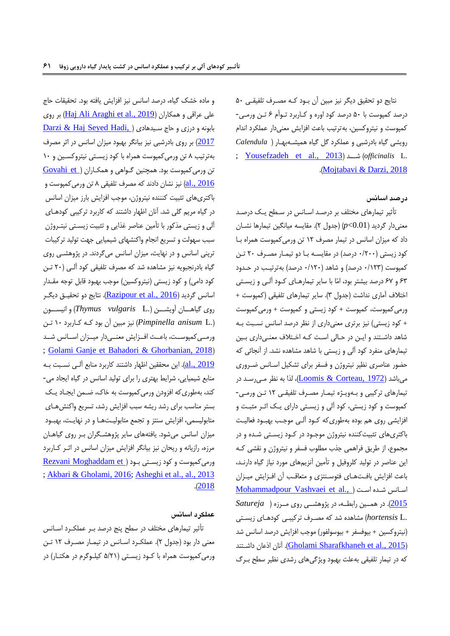نتایج دو تحقیق دیگر نیز مبین آن بـود کـه مصـرف تلفیقـی ۵۰ درصد کمپوسپ با 34 درصد کود اورر و کـاربرد تـوأم 8 تـن ورمـی - کمپوست و نیتروکسین، بهترتیب باعث افزایش معنیدار عملکرد اندام رواتی هیار بادرشبی و عملکرد هل هیار همیتـه بهـار ) *Calendula* ; [Yousefzadeh et al., 2013](#page-15-3)( شـــد( *officinalis* L. .)[Mojtabavi & Darzi, 2018](#page-14-6)

### **درصد اسانس**

تأثیر تیمارهای مختلف بر درصـد اسـانس در سـطح یـک درصـد معنیدار گردید (0.01 $p<$ (جدول ۲). مقایسه میانگین تیمارها نشـان داد که میزان اسانس در تیمار مصرف ١٢ تن ورمی کمپوست همراه با کود زیستی (۲۰۰/۰ درصد) در مقایسـه بـا دو تیمـار مصـرف ۲۰ تـن کمپوست (۱۲۳/۰ درصد) و شاهد (۱۲۰/۰ درصد) بهترتیـب در حـدود 85 و 81 درصد بیتتر بود، امّا با ساار تیمارهـای کـود آلـی و زاسـتی اختلاف آماری نداشت (جدول ۳). سایر تیمارهای تلفیقی (کمپوست + ورمی کمپوست، کمپوست + کود زیستی و کمپوست + ورمی کمپوست + کود زیستی) نیز برتری معنیداری از نظر درصد اسانس نسبت بـه شاهد داشـتند و ایـن در حـالی اسـت کـه اخـتلاف معنـیداری بـین تیمارهای منفرد کود آلی و زاستی با شاهد متاهدر نتد. از آنجائی که حضور عناصری نظیر نیتروژن و سفر برای تتکیل اسـان ضـرور ی میباشد <u>(Loomis & Corteau, 1972)</u>، لذا به نظر مـی رسـد در تیمارهای ترکیبی و بـهویـژه تیمـار مصـرف تلفیقـی ١٢ تـن ورمـی-کمپوست و کود زیستی، کود آلی و زیسـتی دارای یـک اثـر مثبـت و افزایشی روی هم بوده بهطوریکه کـود آلـی موجـب بهبـود فعالیـت باکتریهای تثبیپکنندر نیتروژن موجـود در کـود زاسـتی شـدر و در مجموع، از طریق فراهمی جذب مطلوب فسفر و نیتروژن و نقشی کـه این عناصر در تولید کلروفیل و تأمین آنزیمهای مورد نیاز گیاه دارنـد، باعث افزایش بافـتهـای فتوسـنتزی و متعاقـب آن افـزایش میـزان [Mohammadpour Vashvaei et al.,](#page-14-9) ) اسانس شده است [2015](#page-14-9)(. در همــین رابطــه، در یژوهتــی روی مــرزر ) *Satureja* .L *hortensis* )متاهدر شد که مصـرف ترکیبـی کودهـای زاسـتی )نیتروکسین + بیو سفر + بیوسولفور( موجب ا زااش درصد اسان شد داشتند ([Gholami Sharafkhaneh et al., 2015](#page-13-7)). آنان اذعان داشتند که در تیمار تلفیقی بهعلت بهبود ویژگیهای رشدی نظیر سطح بـرگ

و ماده خشک گیاه، درصد اسانس نیز افزایش یافته بود. تحقیقات حاج علی عراقی و همکاران <u>(Haj Ali Araghi et al., 2019</u>) بر روی <u>Darzi & Haj Seyed Hadi,</u> ) بابونه و درزی و حاج سـیدهادی ( [2017](#page-12-1)) بر روی بادرشبی نیز بیانگر بهبود میزان اسانس در اثر مصرف بهترتیب 6 تن ورمیکمپوسپ همرار با کود زاسـتی نیتروکسـین و 14 تن ورمی کمپوست بود. همچنین گـواهی و همکـاران (Govahi et [2016 .,al](#page-13-3) )نیز نتان دادند که مصرف تلفیقی 6 تن ورمیکمپوسپ و باکتریهای تثبیت کنننده نیتروژن، موجب افزایش بارز میزان اسانس در گیاه مریم گلی شد. آنان اظهار داشتند که کاربرد ترکیبی کودهـای آلی و زیستی مذکور با تأمین عناصر غذایی و تثبیت زیسـتی نیتـروژن سبب سهولت و تسریع انجام واکنشهای شیمیایی جهت تولید ترکیبات ترینی اسانس و در نهایت، میزان اسانس میگردند. در پژوهشـی روی گیاه بادرنجبویه نیز مشاهده شد که مصرف تلفیقی کود آلـی (٢٠ تـن کود دامی) و کود زیستی (نیتروکسین) موجب بهبود قابل توجه مقـدار اسانس گردید (Razipour et al., 2016). نتایج دو تحقیـق دیگـر روی هیاهـــان آواتـــن ).L *vulgaris Thymus* )و انیســـون ).L *anisum Pimpinella* )نیز مبین آن بود کـه کـاربرد 14 تـن ورمــیکمپوســت، باعــث افــزایش معنــیدار میــزان اســانس شــد ; [Golami Ganje et](#page-13-8) [Bahadori & Ghorbanian, 2018](#page-12-5)) [2019 .,al](#page-13-8)). اان محققین اظهار داشتند کاربرد منابع آلـی نسـبپ بـه منابع شیمیایی، شرایط بهتری را برای تولید اسانس در گیاه ایجاد می-کند، بهطوری که افزودن ورمی کمپوست به خاک، ضـمن ایجـاد یـک بستر مناسب برای رشد ریشه سبب افزایش رشد، تسریع واکنشهـای متابولیسمی، افزایش سنتز و تجمع متابولیـتهـا و در نهایـت، بهبـود میزان اسانس میشود. یافتههای سایر پژوهشگران بـر روی گیاهـان مرزه، رازیانه و ریحان نیز بیانگر افزایش میزان اسانس در اثـر کـاربرد ورمی کمپوست و کود زیستی بود (Rezvani Moghaddam et ; [Akbari & Gholami, 2016;](#page-12-3) [Asheghi et al.,](#page-12-2) [al., 2013](#page-15-5)  $. (2018)$  $. (2018)$  $. (2018)$ 

### **عملکرد اسانس**

تأثیر تیمارهای مختلف در سطح ینج درصد بـر عملکـرد اسـان معنی دار بود (جدول ٢). عملکرد اسـانس در تیمـار مصـرف ١٢ تـن ورمی کمپوست همراه با کـود زیسـتی (۵/۲۱ کیلـوگرم در هکتـار) در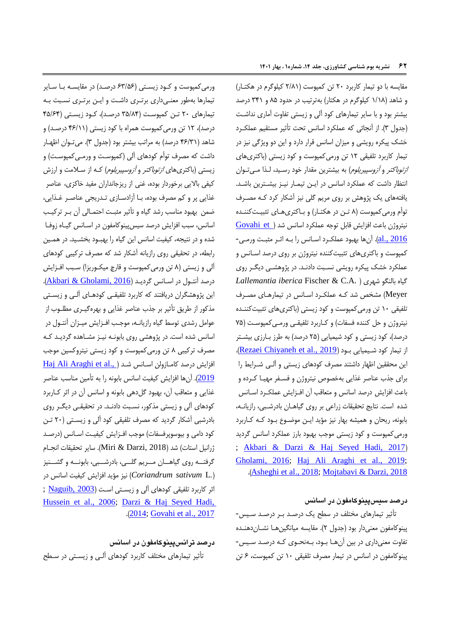مقایسه با دو تیمار کاربرد ۲۰ تن کمپوست (۲/۸۱ کیلوگرم در هکتـار) و شاهد )1/16 کیلوهرم در هکتار( بهترتیب در حدود 63 و 501 درصد بیشتر بود و با سایر تیمارهای کود آلی و زیستی تفاوت آماری نداشـت (جدول ٣). از آنجائی که عملکرد اسانس تحت تأثیر مستقیم عملکرد خشک پیکره رویشی و میزان اسانس قرار دارد و این دو ویژگی نیز در تیمار کاربرد تلفیقی 10 تن ورمیکمپوسپ و کود زاستی )باکتریهای *ازتوباکتر و آزوسپیریلوم*) به بیشترین مقدار خود رسـید، لـذا مـیتـوان انتظار داشت که عملکرد اسانس در ایـن تیمـار نیـز بیشـترین باشـد. یافتههای یک پژوهش بر روی مریم گلی نیز آشکار کرد کـه مصـرف توأم ورمیکمپوسپ )6 تـن در هکتـار( و بـاکتری هـای تثبیـپ کننـدر نیتروژن باعث افزایش قابل توجه عملکرد اسانس شد (Sovahi et [2016 .,al](#page-13-3)). آنها بهبود عملکـرد اسـان را بـه اثـر مثبـپ ورمـی - کمپوست و باکتریهای تثبیتکننده نیتروژن بر روی درصد اسـانس و عملکرد خشک پیکره رویشی نسبت دادنـد. در پژوهشـی دیگـر روی *Lallemantia iberica* Fischer & C.A. ( شهری بالنگو هیار Meyer) مشخص شد کـه عملکرد اسـانس در تیمارهـای مصـرف تلفیقی ١٠ تن ورمی کمپوست و کود زیستی (باکتریهای تثبیتکننـده نیتروژن و حل کننده فسفات) و کـاربرد تلفیقـی ورمـی کمپوسـټ (۷۵ درصد)، کود زیستی و کود شیمیایی (۲۵ درصد) به طرز بـارزی بیشـتر از تیمار کود شـیمیایی بـود (Rezaei Chiyaneh et al., 2019). اان محققین اظهار داشتند مصرف کودهای زاستی و آلـی شـرااط را برای جذب عناصر غذایی بهخصوص نیتروژن و فسـفر مهیـا کـرده و باعث افزایش درصد اسانس و متعاقب آن افـزایش عملکـرد اسـانس شده است. نتایج تحقیقات زراعی بر روی گیاهـان بادرشـبی، رازیانـه، بابونه، ریحان و همیشه بهار نیز مؤید ایـن موضـوع بـود کـه کـاربرد ورمی کمپوست و کود زیستی موجب بهبود بارز عملکرد اسانس گردید ; [Akbari &](#page-12-3) [Darzi & Haj Seyed Hadi, 2017](#page-12-1)) [Gholami, 2016;](#page-12-3) [Haj Ali Araghi et al., 2019;](#page-13-2) .)[Asheghi et al., 2018;](#page-12-2) [Mojtabavi & Darzi, 2018](#page-14-6)

**درصد سیسپینوکامفون در اسانس**

تأثیر تیمارهای مختلف در سطح یک درصـد بـر درصـد سـیس-یینوکامفون معنی دار بود (جدول ۲). مقایسه میانگین هـا نشــان دهنـده تفاوت معنیداری در بین آنهـا بـود، بـه نحـوی کـه درصـد سـی - یینوکامفون در اسان در تیمار مصرف تلفیقی 14 تن کمپوسپ، 8 تن

ورمی کمپوست و کـود زیسـتی (۶۳/۵۶ درصـد) در مقایسـه بـا سـایر تیمارها بهطور معنـی داری برتـری داشـپ و ااـن برتـری نسـبپ بـه تیمارهای ۲۰ تـن کمپوست (۳۵/۸۴ درصـد)، کـود زیسـتی (۴۵/۶۴ درصد)، ۱۲ تن ورمیکمپوست همراه با کود زیستی (۴۶/۱۱ درصـد) و شاهد (۴۶/۳۱ درصد) به مراتب بیشتر بود (جدول ۳). میتوان اظهـار داشت که مصرف توأم کودهای آلی (کمپوسـټ و ورمـی6کمپوسـټ) و زیستی (باکتریهای *ازتوباکتر و آزوسپیریلوم) کـ*ه از سـلامت و ارزش کیفی بالایی برخوردار بوده، غنی از ریزجانداران مفید خاکزی، عناصر غذایی پر و کم مصرف بوده، بـا آزادسـازی تـدریجی عناصـر غـذایی، ضمن بهبود مناسب رشد هیار و تأثیر مثبـپ احتمـالی آن بـر ترکیـب اسانس، سبب افزایش درصد سیس پینوکامفون در اسـانس گیـاه زوفـا شده و در نتیجه، کیفیت اسانس این گیاه را بهبـود بخشـید. در همـین رابطه، در تحقیقی روی رازاانه آشکار شد که مصرف ترکیبی کودهای آلی و زیستی (۸ تن ورمیکمپوست و قارچ میکوریزا) سـبب افـزایش درصد آنتـول در اسـانس گرديـد (Akbari & Gholami, 2016). این پژوهشگران دریافتند که کاربرد تلفیقـی کودهـای آلـی و زیسـتی مذکور از طریق تأثیر بر جذب عناصر غذایی و بهرهگیـری مطلـوب از عوامل رشدی توسط گیاه رازیانـه، موجـب افـزایش میـزان آنتـول در اسانس شده است. در یژوهشی روی بابونـه نیـز مشـاهده گردیـد کـه مصرف ترکیبی 6 تن ورمیکمپوسپ و کود زاستی نیتروکسین موجب افزایش درصد کامـازولن اسـانس شـد (.Haj Ali Araghi et al 2<u>019</u>). آنها افزایش کیفیت اسانس بابونه را به تأمین مناسب عناصر غذایی و متعاقب آن، بهبود گلدهی بابونه و اسانس آن در اثر کـاربرد کودهای آلی و زاستی مذکور، نسـبپ دادنـد. در تحقیقـی داگـر روی بادرشبی آشکار گردید که مصرف تلفیقی کود آلی و زیستی (۲۰ تـن کود دامی و بیوسوپرفسفات) موجب افـزایش کیفیـت اسـانس (درصـد ژرانیل استات( شد )2018 ,Darzi & Miri). ساار تحقیقات انجـام گرفتــه روی گیاهـــان مـــریم گلـــی، بادرشـــبی، بابونـــه و گشـــنیز )*.*L *sativum Coriandrum* )نیز مؤاد ا زااش کیفیپ اسان در اثرکاربرد تلفیقی کودهای آلی و زیستی است (2003 , Naguib, 2003 [Hussein et al., 2006;](#page-13-5) [Darzi & Haj Seyed Hadi,](#page-12-1)  .)[2014;](#page-12-1) [Govahi et al., 2017](#page-13-3)

**درصد ترانسپینوکامفون در اسانس** تأثیر تیمارهای مختلف کاربرد کودهای آلـی و زاسـتی در سـطح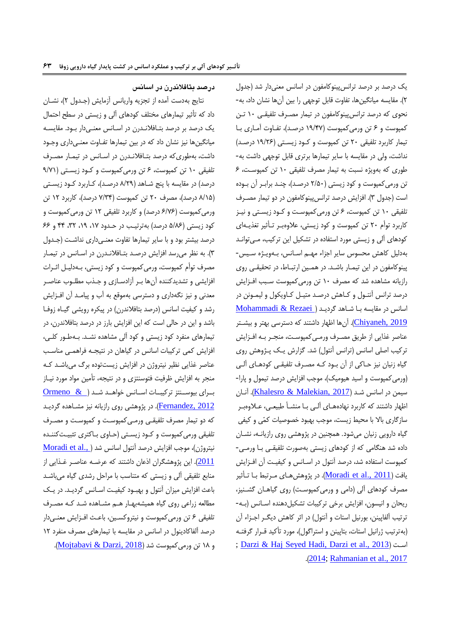## **درصد بتافالندرن در اسانس**

نتايج بهدست آمده از تجزيه واريانس آزمايش (جـدول ٢)، نشــان داد که تأثیر تیمارهای مختلف کودهای آلی و زاستی در سطح احتما یک درصد بر درصد بتـافلانـدرن در اسـانس معنـی دار بـود. مقایسـه میانگینها نیز نتان داد که در بین تیمارها تفـاوت معنـی داری وجـود داشت، بهطوریکه درصد بتـافلانـدرن در اسـانس در تیمـار مصـرف تلفیقی ۱۰ تن کمپوست، ۶ تن ورمی کمپوست و کـود زیسـتی (۹/۷۱ درصد) در مقایسه با پنج شـاهد (۸/۲۹ درصـد)، کـاربرد کـود زیسـتی )6/13 درصد(، مصرف 04 تن کمپوسپ )1/50 درصد(، کاربرد 10 تن ورمیکمپوست (۶/۷۶ درصد) و کاربرد تلفیقی ۱۲ تن ورمیکمپوست و کود زیستی (۵/۸۶ درصد) بهترتیب در حـدود ۱۷، ۱۹، ۳۲، ۴۴ و ۶۶ درصد بیشتر بود و با سایر تیمارها تفاوت معنـیداری نداشـت (جـدول ۴). به نظر می رسد افزایش درصـد بتـافلانـدرن در اسـانس در تیمـار مصرف توأم کمپوسپ، ورمیکمپوسپ و کود زاستی، بـه دلیـل اثـرات افزایشی و تشدیدکننده آنها بـر آزادسـازی و جـذب مطلـوب عناصـر معدنی و نیز نگهداری و دسترسی بهموقع به آب و پیامـد آن افـزایش رشد و کیفیت اسانس (درصد بتافلاندرن) در پیکره رویشی گیـاه زوفـا باشد و این در حالی است که این افزایش بارز در درصد بتافلاندرن، در تیمارهای منفرد کود زاستی و کود آلی متاهدر نتـد. بـه طـور کلـی ، افزایش کمی ترکیبات اسانس در گیاهان در نتیجـه فراهمـی مناسـب عناصر غذایی نظیر نیتروژن در افزایش زیستتوده برگ میباشـد کـه منجر به افزایش ظرفیت فتوسنتزی و در نتیجه، تأمین مواد مورد نیـاز بـرای بیوســنتز ترکیبــات اســانس خواهــد شــد ( Ormeno & <u>Fernandez, 2012</u>). در پژوهشی روی رازیانه نیز مشـاهده گردیـد که دو تیمار مصرف تلفیقـی ورمـی کمپوسـپ و کمپوسـپ و مصـرف تلفیقی ورمی کمپوست و کـود زیسـتی (حـاوی بـاکتری تثبیـتکننـده نیتروژن[\)](#page-14-7)، موجب افزایش درصد آنتول اسانس شد (Moradi et al., ) 2<u>011</u>). این پژوهشگران اذعان داشتند که عرضـه عناصـر غـذایی از منابع تلفیقی آلی و زیستی که متناسب با مراحل رشدی گیاه میباشـد باعث افزایش میزان آنتول و بهبـود کیفیـت اسـانس گردیـد. در یـک مطالعه زراعی روی هیار همیتهبهـار هـم متـاهدر شـد کـه مصـرف تلفیقی ۶ تن ورمی کمپوست و نیتروکسـین، باعـث افـزایش معنـیدار درصد آلفاکادینول در اسانس در مقایسه با تیمارهای مصرف منفرد ١٢ و ١٨ تن ورمی کمپوست شد (Mojtabavi & Darzi, 2018).

یک درصد بر درصد ترانس پینوکامفون در اسانس معنیدار شد (جدول 0(. مقااسه میانگینها، تفاوت قابل توجهی را بین آنها نتان داد، به- نحوی که درصد ترانس پینوکامفون در تیمار مصـرف تلفیقـی ١٠ تـن کمپوسپ و 8 تن ورمیکمپوسپ )13/01 درصـد(، تفـاوت آمـاری بـا تیمار کاربرد تلفیقی ٢٠ تن کمپوست و کـود زیسـتی (١٩/٢۶ درصـد) نداشت، ولی در مقایسه با سایر تیمارها برتری قابل توجهی داشت به-طوری که بهویژه نسبت به تیمار مصرف تلفیقی ١٠ تن کمپوست، ۶ تن ورمی کمپوست و کود زیستی (۲/۵۰ درصـد)، چنـد برابـر آن بـوده است (جدول ٣). افزایش درصد ترانس پینوکامفون در دو تیمار مصـرف تلفیقی 14 تن کمپوسپ، 8 تن ورمیکمپوسـپ و کـود زاسـتی و نیـز کاربرد توأم ٢٠ تن کمپوست و کود زیستی، علاوهبر تـأثیر تغذیـهای کودهای آلی و زیستی مورد استفاده در تشکیل این ترکیب، مـیتوانـد بهدلیل کاهش محسوس سایر اجزاء مهـم اسـانس، بـهویـژه سـیس-یینوکامفون در اان تیمـار باشـد. در همـین ارتبـاط، در تحقیقـی روی رازیانه مشاهده شد که مصرف ١٠ تن ورمی کمپوست سـبب افـزایش درصد ترانس آنتـول و کـاهش درصـد متيـل کـاويکول و ليمـونن در اسانس در مقايسه بـا شـاهد گرديـد (Mohammadi & Rezaei [2019 ,Chiyaneh](#page-14-12)). آنها اظهار داشتند که دسترسی بهتر و بیتـتر عناصر غذایی از طریق مصـرف ورمـی کمپوسـټ، منجـر بـه افـزایش ترکیب اصلی اسانس (ترانس آنتول) شد. گزارش یـک پـژوهش روی هیار زنیان نیز حـاکی از آن بـود کـه مصـرف تلفیقـی کودهـای آلـی (ورمی کمپوست و اسید هیومیک)، موجب افزایش درصد تیمول و پارا-سیمن در اسانس شـد <u>(Khalesro & Malekian, 2017)</u>. آنـان اظهار داشتند که کاربرد نهادههـای آلـی بـا منشـأ طبیعـی، عـلاوهبـر سازگاری بالا با محیط زیست، موجب بهبود خصوصیات کمّی و کیفی گیاه دارویی زنیان میشود. همچنین در پژوهشی روی رازیانـه، نشـان دادر شد هنگامی که از کودهای زاستی بهصورت تلفیقـی بـا ورمـی - کمپوست استفاده شد، درصد آنتول در اسـانس و کیفیـت آن افـزایش افت (<u>Moradi et al., 2011)</u>. در پژوهشهـای مـرتبط بـا تـأثیر مصرف کودهای آلی )دامی و ورمیکمپوسـپ( روی هیاهـان هتـنیز، ریحان و انیسون، افزایش برخی ترکیبات تشکیل دهنده اسـانس (بـه-ترتیب آلفایینن، بورنیل استات و آنتول) در اثر کاهش دیگـر اجـزاء آن (بهترتیب ژرانیل استات، بتاپینن و استراگول)، مورد تأکید قـرار گرفتـه ; [Darzi & Haj Seyed Hadi, Darzi et al., 2013](#page-12-1) ( اسـپ .)[2014;](#page-12-1) [Rahmanian et al., 2017](#page-14-13)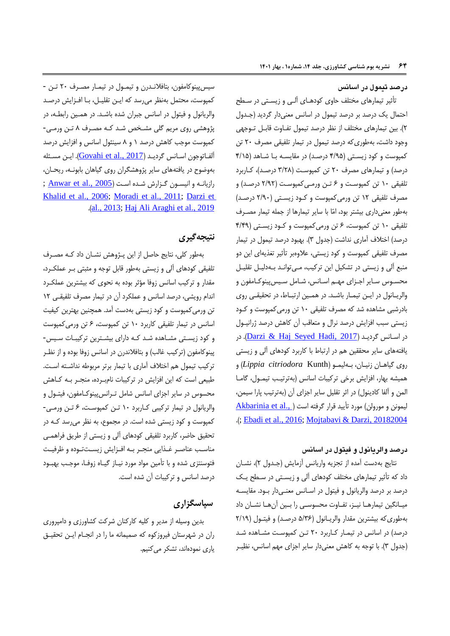**درصد تیمول در اسانس**

تأثیر تیمارهای مختلف حاوی کودهـای آلـی و زاسـتی در سـطح احتمال یک درصد بر درصد تیمول در اسانس معنیدار گردید (جـدول 0(. بین تیمارهای مختلف از نظر درصد تیمو تفـاوت قابـل تـوجهی وجود داشت، بهطوری که درصد تیمول در تیمار تلفیقی مصرف ٢٠ تن کمپوست و کود زیستی (۴/۹۵ درصد) در مقایسـه بـا شـاهد (۴/۱۵ درصد) و تیمارهای مصرف ٢٠ تن کمپوست (٣/٢٨ درصـد)، کـاربرد تلفیقی 14 تن کمپوسـپ و 8 تـن ورمـی کمپوسـپ ) 0/30 درصـد( و مصرف تلفیقی 10 تن ورمیکمپوسپ و کـود زاسـتی ) 0/34 درصـد( بهطور معنیداری بیتتر بود، امّا با ساار تیمارها از جمله تیمار مصـرف تلفیقی 14 تن کمپوسپ، 8 تن ورمیکمپوسپ و کـود زاسـتی ) 0/03 درصد) اختلاف آماری نداشت (جدول ۳). بهبود درصد تیمول در تیمار مصرف تلفیقی کمپوست و کود زیستی، علاوهبر تأثیر تغذیهای این دو منبع آلی و زیستی در تشکیل این ترکیب، مـی توانـد بـهدلیـل تقلیـل محسـوس سـایر اجـزاي مهـم اسـانس، شـامل سـیسپینوکـامفون و والریـانول در ایـن تیمـار باشـد. در همـین ارتبـاط، در تحقیقـی روی بادرشبی متاهدر شد که مصرف تلفیقی 14 تن ورمیکمپوسپ و کـود زیستی سبب افزایش درصد نرال و متعاقب آن کاهش درصد ژرانیـول در اسـانس گرديـد <u>(Darzi & Haj Seyed Hadi, 2017)</u>. در یافتههای سایر محققین هم در ارتباط با کاربرد کودهای آلی و زیستی روی هیاهـان زنیـان، بـهلیمـو )Kunth *citriodora Lippia* )و همیشه بهار، افزایش برخی ترکیبات اسانس (بهترتیب تیمـول، گامـا المن و آلفا کادینول) در اثر تقلیل سایر اجزای آن (بهترتیب پارا سیمن، لیمونن و مورولن[\)](#page-12-6) مورد تأیید قرار گرفته است ( .<u>.Akbarinia et al</u> .); [Ebadi et al., 2016;](#page-13-9) [Mojtabavi & Darzi, 2018](#page-14-6)[2004](#page-12-6)

## **درصد والریانول و فیتول در اسانس**

نتايج بهدست آمده از تجزيه واريانس آزمايش (جـدول ٢)، نشـان داد که تأثیر تیمارهای مختلف کودهای آلی و زیسـتی در سـطح یـک درصد بر درصد والریانول و فیتول در اسـانس معنـیدار بـود. مقایسـه میـانگین تیمارهـا نیـز، تفـاوت محسوسـی را بـین آنهـا نتـان داد بهطوری که بیشترین مقدار والریـانول (۵/۳۶ درصـد) و فیتـول (۲/۱۹ درصد) در اسانس در تیمـار کـاربرد ۲۰ تـن کمپوسـت مشـاهده شـد (جدول ٣). با توجه به کاهش معنیدار سایر اجزای مهم اسانس، نظیـر

سیس پینوکامفون، بتافلانـدرن و تیمـول در تیمـار مصـرف ٢٠ تـن -کمپوست، محتمل بهنظر میرسد که ایـن تقلیـل، بـا افـزایش درصـد والریانول و فیتول در اسانس جبران شده باشـد. در همـین رابطـه، در پژوهشی روی مریم گلی مشـخص شـد کـه مصـرف ۸ تـن ورمـی-کمپوست موجب کاهش درصد ١ و ٨ سینئول اسانس و افزایش درصد آلفـاتوجون اسـانس گرديـد <u>(Govahi et al., 2017</u>). ايـن مسـئله بهوضوح در یافتههای سایر پژوهشگران روی گیاهان بابونـه، ریحـان، زازيانـهو انيسـون گـزارش شـده اسـت (<u>Anwar et al., 2005</u> ; [Khalid et al., 2006;](#page-13-10) [Moradi et al., 2011;](#page-14-7) [Darzi et](#page-12-1)  .)[al., 2013;](#page-12-1) [Haj Ali Araghi et al., 2019](#page-13-2)

# **نتیجهگیری**

بهطور کلی، نتایج حاصل از این یـژوهش نشـان داد کـه مصـرف تلفیقی کودهای آلی و زاستی بهطور قابل توجه و مثبتی بـر عملکـرد، مقدار و ترکیب اسانس زوفا مؤثر بوده به نحوی که بیشترین عملکـرد اندام رویشی، درصد اسانس و عملکرد آن در تیمار مصرف تلفیقـی ١٢ تن ورمی کمپوست و کود زیستی بهدست آمد. همچنین بهترین کیفیت اسانس در تیمار تلفیقی کاربرد ١٠ تن کمپوست، ۶ تن ورمی کمپوست و کود زیسـتی مشـاهده شـد کـه دارای بیشـترین ترکیبـات سـیس-یینوکامفون (ترکیب غالب) و بتافلاندرن در اسانس زوفا بوده و از نظـر ترکیب تیمول هم اختلاف آماری با تیمار برتر مربوطه نداشـته اسـت. طبیعی است که این افزایش در ترکیبات نامبـرده، منجـر بـه کـاهش محسوس در سایر اجزای اسانس شامل تـرانسپینوکـامفون، فیتـول و والریانول در تیمار ترکیبی کـاربرد ١٠ تـن کمپوسـت، ۶ تـن ورمـی-کمپوست و کود زیستی شده است. در مجموع، به نظر میرسد کـه در تحقیق حاضر، کاربرد تلفیقی کودهای آلی و زاستی از طراق راهمـی مناسـب عناصـر غـذایی منجـر بـه افـزایش زیسـتتـوده و ظرفیـت توسنتزی شدر و با تأمین مواد مورد نیـاز هیـار زو ـا، موجـب بهبـود درصد اسانس و ترکیبات آن شده است.

# **سپاسگزاری**

بدین وسیله از مدیر و کلیه کارکنان شرکت کشاورزی و دامپروری ران در شهرستان یروزکور که صمیمانه ما را در انجـام ااـن تحقیـق یاری نمودهاند، تشکر می کنیم.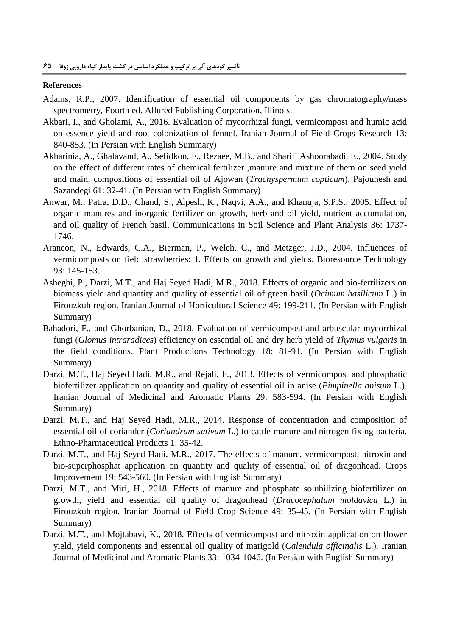#### **References**

- <span id="page-12-4"></span>Adams, R.P., 2007. Identification of essential oil components by gas chromatography/mass spectrometry, Fourth ed. Allured Publishing Corporation, Illinois.
- <span id="page-12-3"></span>Akbari, I., and Gholami, A., 2016. Evaluation of mycorrhizal fungi, vermicompost and humic acid on essence yield and root colonization of fennel. Iranian Journal of Field Crops Research 13: 840-853. (In Persian with English Summary)
- <span id="page-12-6"></span>Akbarinia, A., Ghalavand, A., Sefidkon, F., Rezaee, M.B., and Sharifi Ashoorabadi, E., 2004. Study on the effect of different rates of chemical fertilizer ,manure and mixture of them on seed yield and main, compositions of essential oil of Ajowan (*Trachyspermum copticum*). Pajouhesh and Sazandegi 61: 32-41. (In Persian with English Summary)
- <span id="page-12-7"></span>Anwar, M., Patra, D.D., Chand, S., Alpesh, K., Naqvi, A.A., and Khanuja, S.P.S., 2005. Effect of organic manures and inorganic fertilizer on growth, herb and oil yield, nutrient accumulation, and oil quality of French basil. Communications in Soil Science and Plant Analysis 36: 1737- 1746.
- <span id="page-12-0"></span>Arancon, N., Edwards, C.A., Bierman, P., Welch, C., and Metzger, J.D., 2004. Influences of vermicomposts on field strawberries: 1. Effects on growth and yields. Bioresource Technology 93: 145-153.
- <span id="page-12-2"></span>Asheghi, P., Darzi, M.T., and Haj Seyed Hadi, M.R., 2018. Effects of organic and bio-fertilizers on biomass yield and quantity and quality of essential oil of green basil (*Ocimum basilicum* L.) in Firouzkuh region. Iranian Journal of Horticultural Science 49: 199-211. (In Persian with English Summary)
- <span id="page-12-5"></span>Bahadori, F., and Ghorbanian, D., 2018. Evaluation of vermicompost and arbuscular mycorrhizal fungi (*Glomus intraradices*) efficiency on essential oil and dry herb yield of *Thymus vulgaris* in the field conditions. Plant Productions Technology 18: 81-91. (In Persian with English Summary)
- <span id="page-12-1"></span>Darzi, M.T., Haj Seyed Hadi, M.R., and Rejali, F., 2013. Effects of vermicompost and phosphatic biofertilizer application on quantity and quality of essential oil in anise (*Pimpinella anisum* L.). Iranian Journal of Medicinal and Aromatic Plants 29: 583-594. (In Persian with English Summary)
- Darzi, M.T., and Haj Seyed Hadi, M.R., 2014. Response of concentration and composition of essential oil of coriander (*Coriandrum sativum* L*.*) to cattle manure and nitrogen fixing bacteria. Ethno-Pharmaceutical Products 1: 35-42.
- Darzi, M.T., and Haj Seyed Hadi, M.R., 2017. The effects of manure, vermicompost, nitroxin and bio-superphosphat application on quantity and quality of essential oil of dragonhead*.* Crops Improvement 19: 543-560. (In Persian with English Summary)
- Darzi, M.T., and Miri, H., 2018. Effects of manure and phosphate solubilizing biofertilizer on growth, yield and essential oil quality of dragonhead (*Dracocephalum moldavica* L.) in Firouzkuh region. Iranian Journal of Field Crop Science 49: 35-45. (In Persian with English Summary)
- Darzi, M.T., and Mojtabavi, K., 2018. Effects of vermicompost and nitroxin application on flower yield, yield components and essential oil quality of marigold (*Calendula officinalis* L.). Iranian Journal of Medicinal and Aromatic Plants 33: 1034-1046. (In Persian with English Summary)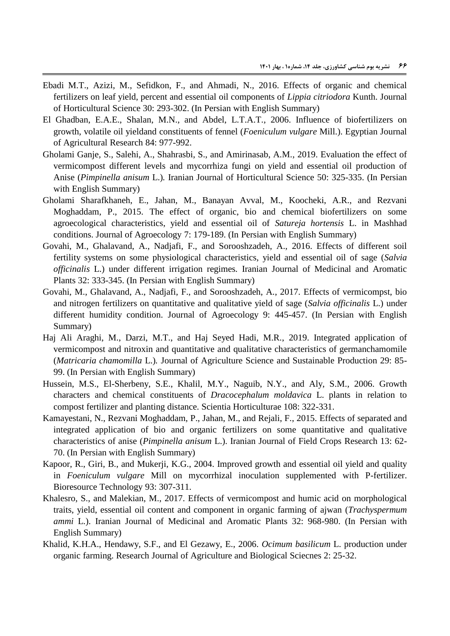- <span id="page-13-9"></span>Ebadi M.T., Azizi, M., Sefidkon, F., and Ahmadi, N., 2016. Effects of organic and chemical fertilizers on leaf yield, percent and essential oil components of *Lippia citriodora* Kunth. Journal of Horticultural Science 30: 293-302. (In Persian with English Summary)
- <span id="page-13-0"></span>El Ghadban, E.A.E., Shalan, M.N., and Abdel, L.T.A.T., 2006. Influence of biofertilizers on growth, volatile oil yieldand constituents of fennel (*Foeniculum vulgare* Mill.). Egyptian Journal of Agricultural Research 84: 977-992.
- <span id="page-13-8"></span>Gholami Ganje, S., Salehi, A., Shahrasbi, S., and Amirinasab, A.M., 2019. Evaluation the effect of vermicompost different levels and mycorrhiza fungi on yield and essential oil production of Anise (*Pimpinella anisum* L.)*.* Iranian Journal of Horticultural Science 50: 325-335. (In Persian with English Summary)
- <span id="page-13-7"></span>Gholami Sharafkhaneh, E., Jahan, M., Banayan Avval, M., Koocheki, A.R., and Rezvani Moghaddam, P., 2015. The effect of organic, bio and chemical biofertilizers on some agroecological characteristics, yield and essential oil of *Satureja hortensis* L. in Mashhad conditions. Journal of Agroecology 7: 179-189. (In Persian with English Summary)
- <span id="page-13-3"></span>Govahi, M., Ghalavand, A., Nadjafi, F., and Sorooshzadeh, A., 2016. Effects of different soil fertility systems on some physiological characteristics, yield and essential oil of sage (*Salvia officinalis* L.) under different irrigation regimes*.* Iranian Journal of Medicinal and Aromatic Plants 32: 333-345. (In Persian with English Summary)
- Govahi, M., Ghalavand, A., Nadjafi, F., and Sorooshzadeh, A., 2017. Effects of vermicompst, bio and nitrogen fertilizers on quantitative and qualitative yield of sage (*Salvia officinalis* L.) under different humidity condition. Journal of Agroecology 9: 445-457. (In Persian with English Summary)
- <span id="page-13-2"></span>Haj Ali Araghi, M., Darzi, M.T., and Haj Seyed Hadi, M.R., 2019. Integrated application of vermicompost and nitroxin and quantitative and qualitative characteristics of germanchamomile (*Matricaria chamomilla* L.)*.* Journal of Agriculture Science and Sustainable Production 29: 85- 99. (In Persian with English Summary)
- <span id="page-13-5"></span>Hussein, M.S., El-Sherbeny, S.E., Khalil, M.Y., Naguib, N.Y., and Aly, S.M., 2006. Growth characters and chemical constituents of *Dracocephalum moldavica* L. plants in relation to compost fertilizer and planting distance. Scientia Horticulturae 108: 322-331.
- <span id="page-13-1"></span>Kamayestani, N., Rezvani Moghaddam, P., Jahan, M., and Rejali, F., 2015. Effects of separated and integrated application of bio and organic fertilizers on some quantitative and qualitative characteristics of anise (*Pimpinella anisum* L.). Iranian Journal of Field Crops Research 13: 62- 70. (In Persian with English Summary)
- <span id="page-13-6"></span>Kapoor, R., Giri, B., and Mukerji, K.G., 2004. Improved growth and essential oil yield and quality in *Foeniculum vulgare* Mill on mycorrhizal inoculation supplemented with P-fertilizer. Bioresource Technology 93: 307-311.
- <span id="page-13-4"></span>Khalesro, S., and Malekian, M., 2017. Effects of vermicompost and humic acid on morphological traits, yield, essential oil content and component in organic farming of ajwan (*Trachyspermum ammi* L.). Iranian Journal of Medicinal and Aromatic Plants 32: 968-980. (In Persian with English Summary)
- <span id="page-13-10"></span>Khalid, K.H.A., Hendawy, S.F., and El Gezawy, E., 2006. *Ocimum basilicum* L. production under organic farming. Research Journal of Agriculture and Biological Sciecnes 2: 25-32.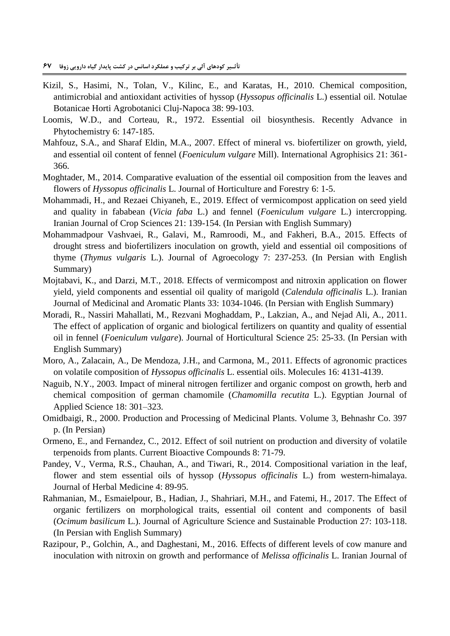- **تأثـیر کودهای آلی بر ترکیب و عملکرد اسانس در کشت پایدار گیاه دارویی زوفا 55**
- <span id="page-14-4"></span>Kizil, S., Hasimi, N., Tolan, V., Kilinc, E., and Karatas, H., 2010. Chemical composition, antimicrobial and antioxidant activities of hyssop (*Hyssopus officinalis* L.) essential oil. Notulae Botanicae Horti Agrobotanici Cluj-Napoca 38: 99-103.
- <span id="page-14-8"></span>Loomis, W.D., and Corteau, R., 1972. Essential oil biosynthesis. Recently Advance in Phytochemistry 6: 147-185.
- <span id="page-14-0"></span>Mahfouz, S.A., and Sharaf Eldin, M.A., 2007. Effect of mineral vs. biofertilizer on growth, yield, and essential oil content of fennel (*Foeniculum vulgare* Mill). International Agrophisics 21: 361- 366.
- <span id="page-14-3"></span>Moghtader, M., 2014. Comparative evaluation of the essential oil composition from the leaves and flowers of *Hyssopus officinalis* L. Journal of Horticulture and Forestry 6: 1-5.
- <span id="page-14-12"></span>Mohammadi, H., and Rezaei Chiyaneh, E., 2019. Effect of vermicompost application on seed yield and quality in fababean (*Vicia faba* L.) and fennel (*Foeniculum vulgare* L.) intercropping. Iranian Journal of Crop Sciences 21: 139-154. (In Persian with English Summary)
- <span id="page-14-9"></span>Mohammadpour Vashvaei, R., Galavi, M., Ramroodi, M., and Fakheri, B.A., 2015. Effects of drought stress and biofertilizers inoculation on growth, yield and essential oil compositions of thyme (*Thymus vulgaris* L.). Journal of Agroecology 7: 237-253. (In Persian with English Summary)
- <span id="page-14-6"></span>Mojtabavi, K., and Darzi, M.T., 2018. Effects of vermicompost and nitroxin application on flower yield, yield components and essential oil quality of marigold (*Calendula officinalis* L.). Iranian Journal of Medicinal and Aromatic Plants 33: 1034-1046. (In Persian with English Summary)
- <span id="page-14-7"></span>Moradi, R., Nassiri Mahallati, M., Rezvani Moghaddam, P., Lakzian, A., and Nejad Ali, A., 2011. The effect of application of organic and biological fertilizers on quantity and quality of essential oil in fennel (*Foeniculum vulgare*). Journal of Horticultural Science 25: 25-33. (In Persian with English Summary)
- <span id="page-14-5"></span>Moro, A., Zalacain, A., De Mendoza, J.H., and Carmona, M., 2011. Effects of agronomic practices on volatile composition of *Hyssopus officinalis* L. essential oils. Molecules 16: 4131-4139.
- <span id="page-14-11"></span>Naguib, N.Y., 2003. Impact of mineral nitrogen fertilizer and organic compost on growth, herb and chemical composition of german chamomile (*Chamomilla recutita* L.). Egyptian Journal of Applied Science 18: 301–323.
- <span id="page-14-1"></span>Omidbaigi, R., 2000. Production and Processing of Medicinal Plants. Volume 3, Behnashr Co. 397 p. (In Persian)
- <span id="page-14-14"></span>Ormeno, E., and Fernandez, C., 2012. Effect of soil nutrient on production and diversity of volatile terpenoids from plants. Current Bioactive Compounds 8: 71-79.
- <span id="page-14-2"></span>Pandey, V., Verma, R.S., Chauhan, A., and Tiwari, R., 2014. Compositional variation in the leaf, flower and stem essential oils of hyssop (*Hyssopus officinalis* L.) from western-himalaya. Journal of Herbal Medicine 4: 89-95.
- <span id="page-14-13"></span>Rahmanian, M., Esmaielpour, B., Hadian, J., Shahriari, M.H., and Fatemi, H., 2017. The Effect of organic fertilizers on morphological traits, essential oil content and components of basil (*Ocimum basilicum* L.). Journal of Agriculture Science and Sustainable Production 27: 103-118. (In Persian with English Summary)
- <span id="page-14-10"></span>Razipour, P., Golchin, A., and Daghestani, M., 2016. Effects of different levels of cow manure and inoculation with nitroxin on growth and performance of *Melissa officinalis* L. Iranian Journal of